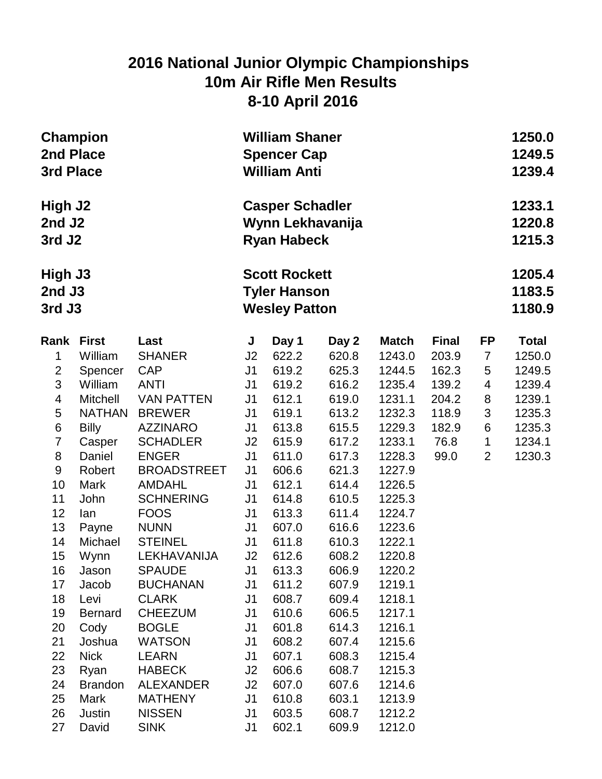## **2016 National Junior Olympic Championships 10m Air Rifle Men Results 8-10 April 2016**

| 2nd Place<br>3rd Place                  | <b>Champion</b> |                                  |                      | <b>William Shaner</b><br><b>Spencer Cap</b><br><b>William Anti</b>  |                |                  |              |                |              |  |
|-----------------------------------------|-----------------|----------------------------------|----------------------|---------------------------------------------------------------------|----------------|------------------|--------------|----------------|--------------|--|
| High J2<br>2nd J2<br>3rd J <sub>2</sub> |                 |                                  |                      | <b>Casper Schadler</b><br>Wynn Lekhavanija<br><b>Ryan Habeck</b>    |                |                  |              |                |              |  |
| High J3<br>2nd J3<br>3rd J3             |                 |                                  |                      | <b>Scott Rockett</b><br><b>Tyler Hanson</b><br><b>Wesley Patton</b> |                |                  |              |                |              |  |
| Rank                                    | <b>First</b>    | Last                             | J                    | Day 1                                                               | Day 2          | <b>Match</b>     | <b>Final</b> | <b>FP</b>      | <b>Total</b> |  |
| $\mathbf 1$                             | William         | <b>SHANER</b>                    | J2                   | 622.2                                                               | 620.8          | 1243.0           | 203.9        | $\overline{7}$ | 1250.0       |  |
| $\overline{c}$                          | Spencer         | <b>CAP</b>                       | J1                   | 619.2                                                               | 625.3          | 1244.5           | 162.3        | 5              | 1249.5       |  |
| 3                                       | William         | <b>ANTI</b>                      | J1                   | 619.2                                                               | 616.2          | 1235.4           | 139.2        | 4              | 1239.4       |  |
| 4                                       | <b>Mitchell</b> | <b>VAN PATTEN</b>                | J <sub>1</sub>       | 612.1                                                               | 619.0          | 1231.1           | 204.2        | 8              | 1239.1       |  |
| 5                                       | <b>NATHAN</b>   | <b>BREWER</b>                    | J <sub>1</sub>       | 619.1                                                               | 613.2          | 1232.3           | 118.9        | 3              | 1235.3       |  |
| 6                                       | <b>Billy</b>    | <b>AZZINARO</b>                  | J1                   | 613.8                                                               | 615.5          | 1229.3           | 182.9        | 6              | 1235.3       |  |
| 7                                       | Casper          | <b>SCHADLER</b>                  | J <sub>2</sub>       | 615.9                                                               | 617.2          | 1233.1           | 76.8         | $\mathbf 1$    | 1234.1       |  |
| 8                                       | Daniel          | <b>ENGER</b>                     | J1                   | 611.0                                                               | 617.3          | 1228.3           | 99.0         | $\overline{2}$ | 1230.3       |  |
| 9                                       | Robert          | <b>BROADSTREET</b>               | J1                   | 606.6                                                               | 621.3          | 1227.9           |              |                |              |  |
| 10                                      | <b>Mark</b>     | <b>AMDAHL</b>                    | J1                   | 612.1                                                               | 614.4          | 1226.5           |              |                |              |  |
| 11                                      | John            | <b>SCHNERING</b>                 | J1                   | 614.8                                                               | 610.5          | 1225.3           |              |                |              |  |
| 12                                      | lan             | <b>FOOS</b>                      | J1                   | 613.3                                                               | 611.4          | 1224.7           |              |                |              |  |
| 13                                      | Payne           | <b>NUNN</b>                      | J1                   | 607.0                                                               | 616.6          | 1223.6           |              |                |              |  |
| 14                                      | Michael         | <b>STEINEL</b>                   | J1                   | 611.8                                                               | 610.3          | 1222.1           |              |                |              |  |
| 15                                      | Wynn            | LEKHAVANIJA                      | J2                   | 612.6                                                               | 608.2          | 1220.8           |              |                |              |  |
| 16<br>17                                | Jason<br>Jacob  | <b>SPAUDE</b><br><b>BUCHANAN</b> | J1<br>J <sub>1</sub> | 613.3<br>611.2                                                      | 606.9<br>607.9 | 1220.2<br>1219.1 |              |                |              |  |
| 18                                      | Levi            | <b>CLARK</b>                     | J1                   | 608.7                                                               | 609.4          | 1218.1           |              |                |              |  |
| 19                                      | <b>Bernard</b>  | <b>CHEEZUM</b>                   | J1                   | 610.6                                                               | 606.5          | 1217.1           |              |                |              |  |
| 20                                      | Cody            | <b>BOGLE</b>                     | J1                   | 601.8                                                               | 614.3          | 1216.1           |              |                |              |  |
| 21                                      | Joshua          | <b>WATSON</b>                    | J1                   | 608.2                                                               | 607.4          | 1215.6           |              |                |              |  |
| 22                                      | <b>Nick</b>     | <b>LEARN</b>                     | J1                   | 607.1                                                               | 608.3          | 1215.4           |              |                |              |  |
| 23                                      | Ryan            | <b>HABECK</b>                    | J2                   | 606.6                                                               | 608.7          | 1215.3           |              |                |              |  |
| 24                                      | <b>Brandon</b>  | <b>ALEXANDER</b>                 | J2                   | 607.0                                                               | 607.6          | 1214.6           |              |                |              |  |
| 25                                      | Mark            | <b>MATHENY</b>                   | J1                   | 610.8                                                               | 603.1          | 1213.9           |              |                |              |  |
| 26                                      | Justin          | <b>NISSEN</b>                    | J1                   | 603.5                                                               | 608.7          | 1212.2           |              |                |              |  |
| 27                                      | David           | <b>SINK</b>                      | J1                   | 602.1                                                               | 609.9          | 1212.0           |              |                |              |  |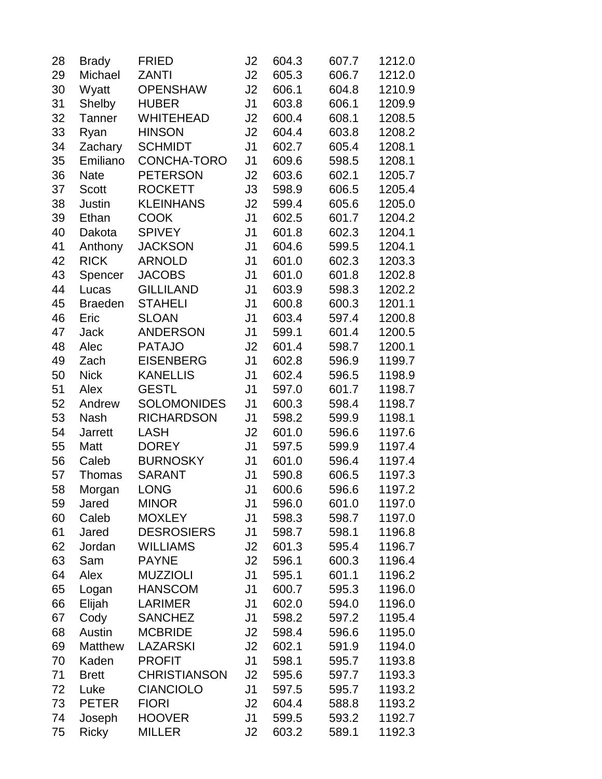| 28 | <b>Brady</b>   | <b>FRIED</b>        | J2             | 604.3 | 607.7 | 1212.0 |
|----|----------------|---------------------|----------------|-------|-------|--------|
| 29 | Michael        | <b>ZANTI</b>        | J2             | 605.3 | 606.7 | 1212.0 |
| 30 | Wyatt          | <b>OPENSHAW</b>     | J2             | 606.1 | 604.8 | 1210.9 |
| 31 | Shelby         | <b>HUBER</b>        | J <sub>1</sub> | 603.8 | 606.1 | 1209.9 |
| 32 | <b>Tanner</b>  | <b>WHITEHEAD</b>    | J2             | 600.4 | 608.1 | 1208.5 |
| 33 | Ryan           | <b>HINSON</b>       | J2             | 604.4 | 603.8 | 1208.2 |
| 34 | Zachary        | <b>SCHMIDT</b>      | J <sub>1</sub> | 602.7 | 605.4 | 1208.1 |
| 35 | Emiliano       | CONCHA-TORO         | J <sub>1</sub> | 609.6 | 598.5 | 1208.1 |
| 36 | <b>Nate</b>    | <b>PETERSON</b>     | J2             | 603.6 | 602.1 | 1205.7 |
| 37 | <b>Scott</b>   | <b>ROCKETT</b>      | J3             | 598.9 | 606.5 | 1205.4 |
| 38 | <b>Justin</b>  | <b>KLEINHANS</b>    | J2             | 599.4 | 605.6 | 1205.0 |
| 39 | Ethan          | <b>COOK</b>         | J <sub>1</sub> | 602.5 | 601.7 | 1204.2 |
| 40 | Dakota         | <b>SPIVEY</b>       | J <sub>1</sub> | 601.8 | 602.3 | 1204.1 |
| 41 | Anthony        | <b>JACKSON</b>      | J <sub>1</sub> | 604.6 | 599.5 | 1204.1 |
| 42 | <b>RICK</b>    | <b>ARNOLD</b>       | J <sub>1</sub> | 601.0 | 602.3 | 1203.3 |
| 43 | Spencer        | <b>JACOBS</b>       | J <sub>1</sub> | 601.0 | 601.8 | 1202.8 |
| 44 | Lucas          | <b>GILLILAND</b>    | J <sub>1</sub> | 603.9 | 598.3 | 1202.2 |
| 45 | <b>Braeden</b> | <b>STAHELI</b>      | J <sub>1</sub> | 600.8 | 600.3 | 1201.1 |
| 46 | Eric           | <b>SLOAN</b>        | J <sub>1</sub> | 603.4 | 597.4 | 1200.8 |
| 47 | <b>Jack</b>    | <b>ANDERSON</b>     | J <sub>1</sub> | 599.1 | 601.4 | 1200.5 |
| 48 | Alec           | <b>PATAJO</b>       | J2             | 601.4 | 598.7 | 1200.1 |
| 49 | Zach           | <b>EISENBERG</b>    | J <sub>1</sub> | 602.8 | 596.9 | 1199.7 |
| 50 | <b>Nick</b>    | <b>KANELLIS</b>     | J <sub>1</sub> | 602.4 | 596.5 | 1198.9 |
| 51 | Alex           | <b>GESTL</b>        | J <sub>1</sub> | 597.0 | 601.7 | 1198.7 |
| 52 | Andrew         | <b>SOLOMONIDES</b>  | J <sub>1</sub> | 600.3 | 598.4 | 1198.7 |
| 53 | <b>Nash</b>    | <b>RICHARDSON</b>   | J <sub>1</sub> | 598.2 | 599.9 | 1198.1 |
| 54 | <b>Jarrett</b> | <b>LASH</b>         | J2             | 601.0 | 596.6 | 1197.6 |
| 55 | Matt           | <b>DOREY</b>        | J <sub>1</sub> | 597.5 | 599.9 | 1197.4 |
| 56 | Caleb          | <b>BURNOSKY</b>     | J <sub>1</sub> | 601.0 | 596.4 | 1197.4 |
| 57 | Thomas         | <b>SARANT</b>       | J <sub>1</sub> | 590.8 | 606.5 | 1197.3 |
| 58 | Morgan         | <b>LONG</b>         | J <sub>1</sub> | 600.6 | 596.6 | 1197.2 |
| 59 | Jared          | <b>MINOR</b>        | J1             | 596.0 | 601.0 | 1197.0 |
| 60 | Caleb          | <b>MOXLEY</b>       | J <sub>1</sub> | 598.3 | 598.7 | 1197.0 |
| 61 | Jared          | <b>DESROSIERS</b>   | J1             | 598.7 | 598.1 | 1196.8 |
| 62 | Jordan         | <b>WILLIAMS</b>     | J2             | 601.3 | 595.4 | 1196.7 |
| 63 | Sam            | <b>PAYNE</b>        | J2             | 596.1 | 600.3 | 1196.4 |
| 64 | Alex           | <b>MUZZIOLI</b>     | J <sub>1</sub> | 595.1 | 601.1 | 1196.2 |
| 65 | Logan          | <b>HANSCOM</b>      | J <sub>1</sub> | 600.7 | 595.3 | 1196.0 |
| 66 | Elijah         | <b>LARIMER</b>      | J <sub>1</sub> | 602.0 | 594.0 | 1196.0 |
| 67 | Cody           | <b>SANCHEZ</b>      | J <sub>1</sub> | 598.2 | 597.2 | 1195.4 |
| 68 | Austin         | <b>MCBRIDE</b>      | J2             | 598.4 | 596.6 | 1195.0 |
| 69 | Matthew        | <b>LAZARSKI</b>     | J2             | 602.1 | 591.9 | 1194.0 |
| 70 | Kaden          | <b>PROFIT</b>       | J <sub>1</sub> | 598.1 | 595.7 | 1193.8 |
| 71 | <b>Brett</b>   | <b>CHRISTIANSON</b> | J2             | 595.6 | 597.7 | 1193.3 |
| 72 | Luke           | <b>CIANCIOLO</b>    | J <sub>1</sub> | 597.5 | 595.7 | 1193.2 |
| 73 | <b>PETER</b>   | <b>FIORI</b>        | J2             | 604.4 | 588.8 | 1193.2 |
| 74 | Joseph         | <b>HOOVER</b>       | J1             | 599.5 | 593.2 | 1192.7 |
| 75 | <b>Ricky</b>   | <b>MILLER</b>       | J2             | 603.2 | 589.1 | 1192.3 |
|    |                |                     |                |       |       |        |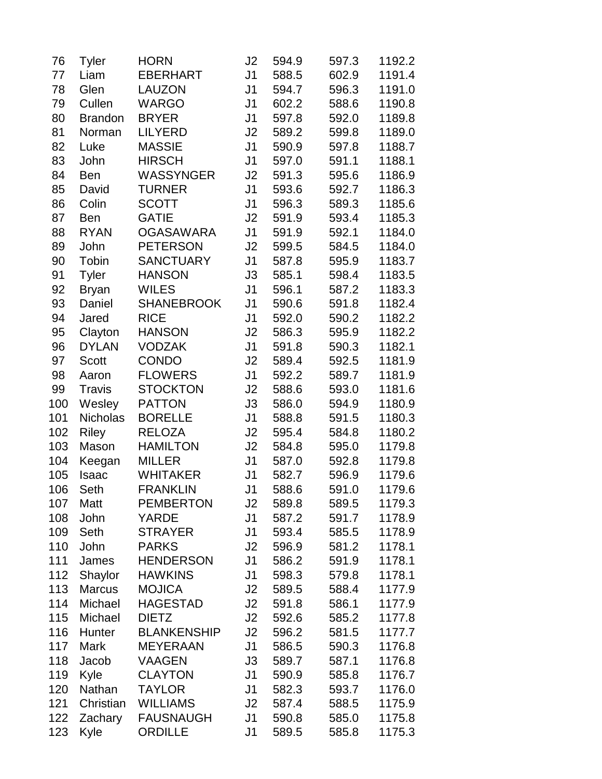| 76  | <b>Tyler</b>    | <b>HORN</b>        | J2             | 594.9 | 597.3 | 1192.2 |
|-----|-----------------|--------------------|----------------|-------|-------|--------|
| 77  | Liam            | <b>EBERHART</b>    | J1             | 588.5 | 602.9 | 1191.4 |
| 78  | Glen            | <b>LAUZON</b>      | J <sub>1</sub> | 594.7 | 596.3 | 1191.0 |
| 79  | Cullen          | <b>WARGO</b>       | J <sub>1</sub> | 602.2 | 588.6 | 1190.8 |
| 80  | <b>Brandon</b>  | <b>BRYER</b>       | J1             | 597.8 | 592.0 | 1189.8 |
| 81  | Norman          | <b>LILYERD</b>     | J2             | 589.2 | 599.8 | 1189.0 |
| 82  | Luke            | <b>MASSIE</b>      | J <sub>1</sub> | 590.9 | 597.8 | 1188.7 |
| 83  | John            | <b>HIRSCH</b>      | J <sub>1</sub> | 597.0 | 591.1 | 1188.1 |
| 84  | <b>Ben</b>      | <b>WASSYNGER</b>   | J2             | 591.3 | 595.6 | 1186.9 |
| 85  | David           | <b>TURNER</b>      | J <sub>1</sub> | 593.6 | 592.7 | 1186.3 |
| 86  | Colin           | <b>SCOTT</b>       | J <sub>1</sub> | 596.3 | 589.3 | 1185.6 |
| 87  | <b>Ben</b>      | <b>GATIE</b>       | J2             | 591.9 | 593.4 | 1185.3 |
| 88  | <b>RYAN</b>     | <b>OGASAWARA</b>   | J <sub>1</sub> | 591.9 | 592.1 | 1184.0 |
| 89  | John            | <b>PETERSON</b>    | J2             | 599.5 | 584.5 | 1184.0 |
| 90  | Tobin           | <b>SANCTUARY</b>   | J <sub>1</sub> | 587.8 | 595.9 | 1183.7 |
| 91  | <b>Tyler</b>    | <b>HANSON</b>      | J3             | 585.1 | 598.4 | 1183.5 |
| 92  | <b>Bryan</b>    | <b>WILES</b>       | J <sub>1</sub> | 596.1 | 587.2 | 1183.3 |
| 93  | Daniel          | <b>SHANEBROOK</b>  | J <sub>1</sub> | 590.6 | 591.8 | 1182.4 |
| 94  | Jared           | <b>RICE</b>        | J1             | 592.0 | 590.2 | 1182.2 |
| 95  | Clayton         | <b>HANSON</b>      | J <sub>2</sub> | 586.3 | 595.9 | 1182.2 |
| 96  | <b>DYLAN</b>    | <b>VODZAK</b>      | J1             | 591.8 | 590.3 | 1182.1 |
| 97  | <b>Scott</b>    | <b>CONDO</b>       | J <sub>2</sub> | 589.4 | 592.5 | 1181.9 |
| 98  | Aaron           | <b>FLOWERS</b>     | J1             | 592.2 | 589.7 | 1181.9 |
| 99  | <b>Travis</b>   | <b>STOCKTON</b>    | J2             | 588.6 | 593.0 | 1181.6 |
| 100 | Wesley          | <b>PATTON</b>      | J3             | 586.0 | 594.9 | 1180.9 |
| 101 | <b>Nicholas</b> | <b>BORELLE</b>     | J <sub>1</sub> | 588.8 | 591.5 | 1180.3 |
| 102 | <b>Riley</b>    | <b>RELOZA</b>      | J <sub>2</sub> | 595.4 | 584.8 | 1180.2 |
| 103 | Mason           | <b>HAMILTON</b>    | J2             | 584.8 | 595.0 | 1179.8 |
| 104 | Keegan          | <b>MILLER</b>      | J <sub>1</sub> | 587.0 | 592.8 | 1179.8 |
| 105 | <b>Isaac</b>    | <b>WHITAKER</b>    | J <sub>1</sub> | 582.7 | 596.9 | 1179.6 |
| 106 | Seth            | <b>FRANKLIN</b>    | J <sub>1</sub> | 588.6 | 591.0 | 1179.6 |
| 107 | Matt            | <b>PEMBERTON</b>   | J2             | 589.8 | 589.5 | 1179.3 |
| 108 | John            | <b>YARDE</b>       | J1             | 587.2 | 591.7 | 1178.9 |
| 109 | Seth            | <b>STRAYER</b>     | J1             | 593.4 | 585.5 | 1178.9 |
| 110 | John            | <b>PARKS</b>       | J2             | 596.9 | 581.2 | 1178.1 |
| 111 | James           | <b>HENDERSON</b>   | J <sub>1</sub> | 586.2 | 591.9 | 1178.1 |
| 112 | Shaylor         | <b>HAWKINS</b>     | J <sub>1</sub> | 598.3 | 579.8 | 1178.1 |
| 113 | <b>Marcus</b>   | <b>MOJICA</b>      | J2             | 589.5 | 588.4 | 1177.9 |
| 114 | Michael         | <b>HAGESTAD</b>    | J2             | 591.8 | 586.1 | 1177.9 |
| 115 | Michael         | <b>DIETZ</b>       | J2             | 592.6 | 585.2 | 1177.8 |
| 116 | Hunter          | <b>BLANKENSHIP</b> | J2             | 596.2 | 581.5 | 1177.7 |
| 117 | <b>Mark</b>     | <b>MEYERAAN</b>    | J <sub>1</sub> | 586.5 | 590.3 | 1176.8 |
| 118 | Jacob           | <b>VAAGEN</b>      | J3             | 589.7 | 587.1 | 1176.8 |
| 119 | Kyle            | <b>CLAYTON</b>     | J <sub>1</sub> | 590.9 | 585.8 | 1176.7 |
| 120 | Nathan          | <b>TAYLOR</b>      | J1             | 582.3 | 593.7 | 1176.0 |
| 121 | Christian       | <b>WILLIAMS</b>    | J2             | 587.4 | 588.5 | 1175.9 |
| 122 | Zachary         | <b>FAUSNAUGH</b>   | J1             | 590.8 | 585.0 | 1175.8 |
| 123 | Kyle            | <b>ORDILLE</b>     | J1             | 589.5 | 585.8 | 1175.3 |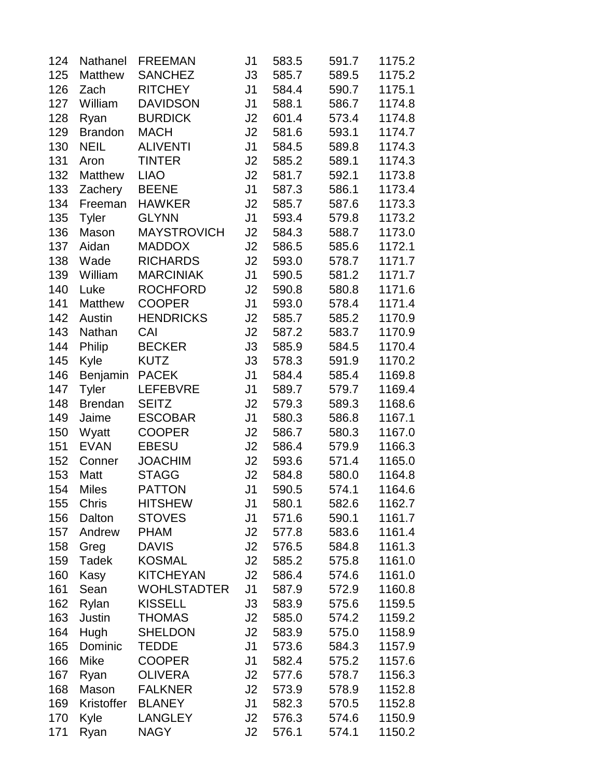| 124 | Nathanel       | <b>FREEMAN</b>     | J1             | 583.5 | 591.7 | 1175.2 |
|-----|----------------|--------------------|----------------|-------|-------|--------|
| 125 | Matthew        | <b>SANCHEZ</b>     | J3             | 585.7 | 589.5 | 1175.2 |
| 126 | Zach           | <b>RITCHEY</b>     | J <sub>1</sub> | 584.4 | 590.7 | 1175.1 |
| 127 | William        | <b>DAVIDSON</b>    | J <sub>1</sub> | 588.1 | 586.7 | 1174.8 |
| 128 | Ryan           | <b>BURDICK</b>     | J <sub>2</sub> | 601.4 | 573.4 | 1174.8 |
| 129 | <b>Brandon</b> | <b>MACH</b>        | J2             | 581.6 | 593.1 | 1174.7 |
| 130 | <b>NEIL</b>    | <b>ALIVENTI</b>    | J <sub>1</sub> | 584.5 | 589.8 | 1174.3 |
| 131 | Aron           | <b>TINTER</b>      | J2             | 585.2 | 589.1 | 1174.3 |
| 132 | Matthew        | <b>LIAO</b>        | J2             | 581.7 | 592.1 | 1173.8 |
| 133 | Zachery        | <b>BEENE</b>       | J <sub>1</sub> | 587.3 | 586.1 | 1173.4 |
| 134 | Freeman        | <b>HAWKER</b>      | J2             | 585.7 | 587.6 | 1173.3 |
| 135 | <b>Tyler</b>   | <b>GLYNN</b>       | J <sub>1</sub> | 593.4 | 579.8 | 1173.2 |
| 136 | Mason          | <b>MAYSTROVICH</b> | J <sub>2</sub> | 584.3 | 588.7 | 1173.0 |
| 137 | Aidan          | <b>MADDOX</b>      | J <sub>2</sub> | 586.5 | 585.6 | 1172.1 |
| 138 | Wade           | <b>RICHARDS</b>    | J2             | 593.0 | 578.7 | 1171.7 |
| 139 | William        | <b>MARCINIAK</b>   | J <sub>1</sub> | 590.5 | 581.2 | 1171.7 |
| 140 | Luke           | <b>ROCHFORD</b>    | J2             | 590.8 | 580.8 | 1171.6 |
| 141 | <b>Matthew</b> | <b>COOPER</b>      | J <sub>1</sub> | 593.0 | 578.4 | 1171.4 |
| 142 | Austin         | <b>HENDRICKS</b>   | J <sub>2</sub> | 585.7 | 585.2 | 1170.9 |
| 143 | Nathan         | CAI                | J <sub>2</sub> | 587.2 | 583.7 | 1170.9 |
| 144 | Philip         | <b>BECKER</b>      | J3             | 585.9 | 584.5 | 1170.4 |
| 145 | Kyle           | <b>KUTZ</b>        | J3             | 578.3 | 591.9 | 1170.2 |
| 146 | Benjamin       | <b>PACEK</b>       | J <sub>1</sub> | 584.4 | 585.4 | 1169.8 |
| 147 | <b>Tyler</b>   | <b>LEFEBVRE</b>    | J <sub>1</sub> | 589.7 | 579.7 | 1169.4 |
| 148 | <b>Brendan</b> | <b>SEITZ</b>       | J2             | 579.3 | 589.3 | 1168.6 |
| 149 | Jaime          | <b>ESCOBAR</b>     | J <sub>1</sub> | 580.3 | 586.8 | 1167.1 |
| 150 | Wyatt          | <b>COOPER</b>      | J2             | 586.7 | 580.3 | 1167.0 |
| 151 | <b>EVAN</b>    | <b>EBESU</b>       | J2             | 586.4 | 579.9 | 1166.3 |
| 152 | Conner         | <b>JOACHIM</b>     | J2             | 593.6 | 571.4 | 1165.0 |
| 153 | Matt           | <b>STAGG</b>       | J <sub>2</sub> | 584.8 | 580.0 | 1164.8 |
| 154 | <b>Miles</b>   | <b>PATTON</b>      | J <sub>1</sub> | 590.5 | 574.1 | 1164.6 |
| 155 | Chris          | <b>HITSHEW</b>     | J1             | 580.1 | 582.6 | 1162.7 |
| 156 | Dalton         | <b>STOVES</b>      | J <sub>1</sub> | 571.6 | 590.1 | 1161.7 |
| 157 | Andrew         | <b>PHAM</b>        | J2             | 577.8 | 583.6 | 1161.4 |
| 158 | Greg           | <b>DAVIS</b>       | J2             | 576.5 | 584.8 | 1161.3 |
| 159 | Tadek          | <b>KOSMAL</b>      | J2             | 585.2 | 575.8 | 1161.0 |
| 160 | Kasy           | <b>KITCHEYAN</b>   | J2             | 586.4 | 574.6 | 1161.0 |
| 161 | Sean           | <b>WOHLSTADTER</b> | J <sub>1</sub> | 587.9 | 572.9 | 1160.8 |
| 162 | Rylan          | <b>KISSELL</b>     | J3             | 583.9 | 575.6 | 1159.5 |
| 163 | Justin         | <b>THOMAS</b>      | J2             | 585.0 | 574.2 | 1159.2 |
| 164 | Hugh           | <b>SHELDON</b>     | J2             | 583.9 | 575.0 | 1158.9 |
| 165 | Dominic        | <b>TEDDE</b>       | J <sub>1</sub> | 573.6 | 584.3 | 1157.9 |
| 166 | Mike           | <b>COOPER</b>      | J <sub>1</sub> | 582.4 | 575.2 | 1157.6 |
| 167 | Ryan           | <b>OLIVERA</b>     | J2             | 577.6 | 578.7 | 1156.3 |
| 168 | Mason          | <b>FALKNER</b>     | J2             | 573.9 | 578.9 | 1152.8 |
| 169 | Kristoffer     | <b>BLANEY</b>      | J <sub>1</sub> | 582.3 | 570.5 | 1152.8 |
| 170 | Kyle           | <b>LANGLEY</b>     | J2             | 576.3 | 574.6 | 1150.9 |
| 171 | Ryan           | <b>NAGY</b>        | J2             | 576.1 | 574.1 | 1150.2 |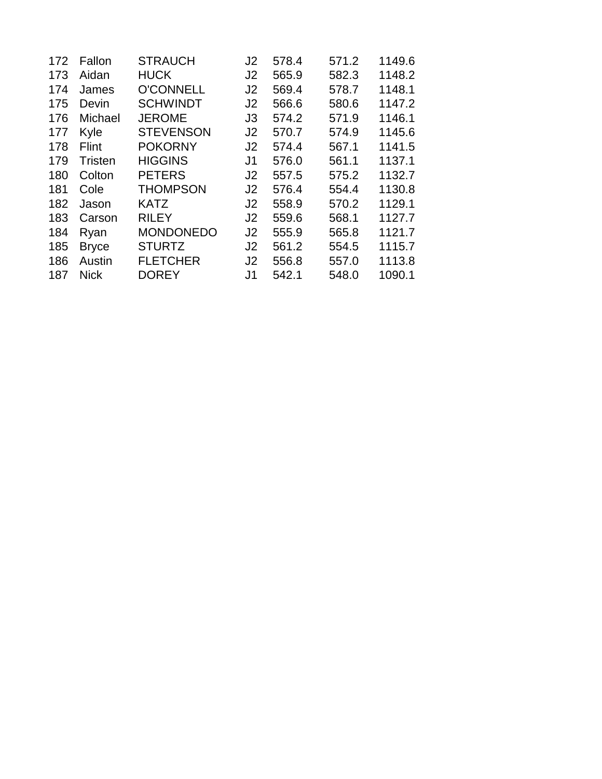| 172 | Fallon         | <b>STRAUCH</b>   | J <sub>2</sub> | 578.4 | 571.2 | 1149.6 |
|-----|----------------|------------------|----------------|-------|-------|--------|
| 173 | Aidan          | <b>HUCK</b>      | J2             | 565.9 | 582.3 | 1148.2 |
| 174 | James          | <b>O'CONNELL</b> | J2             | 569.4 | 578.7 | 1148.1 |
| 175 | Devin          | <b>SCHWINDT</b>  | J <sub>2</sub> | 566.6 | 580.6 | 1147.2 |
| 176 | Michael        | <b>JEROME</b>    | J3             | 574.2 | 571.9 | 1146.1 |
| 177 | Kyle           | <b>STEVENSON</b> | J <sub>2</sub> | 570.7 | 574.9 | 1145.6 |
| 178 | Flint          | <b>POKORNY</b>   | J <sub>2</sub> | 574.4 | 567.1 | 1141.5 |
| 179 | <b>Tristen</b> | <b>HIGGINS</b>   | J <sub>1</sub> | 576.0 | 561.1 | 1137.1 |
| 180 | Colton         | <b>PETERS</b>    | J <sub>2</sub> | 557.5 | 575.2 | 1132.7 |
| 181 | Cole           | <b>THOMPSON</b>  | J <sub>2</sub> | 576.4 | 554.4 | 1130.8 |
| 182 | Jason          | <b>KATZ</b>      | J <sub>2</sub> | 558.9 | 570.2 | 1129.1 |
| 183 | Carson         | <b>RILEY</b>     | J <sub>2</sub> | 559.6 | 568.1 | 1127.7 |
| 184 | Ryan           | <b>MONDONEDO</b> | J2             | 555.9 | 565.8 | 1121.7 |
| 185 | <b>Bryce</b>   | <b>STURTZ</b>    | J2             | 561.2 | 554.5 | 1115.7 |
| 186 | Austin         | <b>FLETCHER</b>  | J2             | 556.8 | 557.0 | 1113.8 |
| 187 | <b>Nick</b>    | <b>DOREY</b>     | J <sub>1</sub> | 542.1 | 548.0 | 1090.1 |
|     |                |                  |                |       |       |        |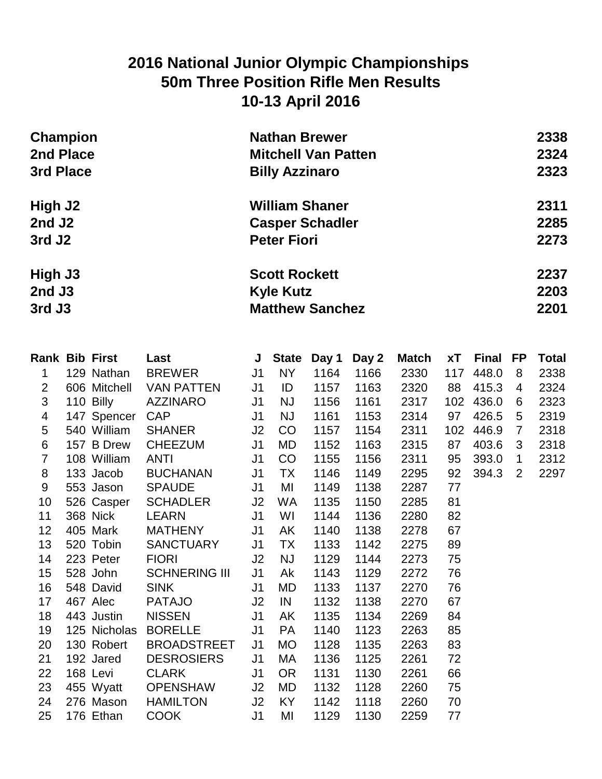## **2016 National Junior Olympic Championships 50m Three Position Rifle Men Results 10-13 April 2016**

| Champion           | <b>Nathan Brewer</b>       | 2338 |
|--------------------|----------------------------|------|
| 2nd Place          | <b>Mitchell Van Patten</b> | 2324 |
| 3rd Place          | <b>Billy Azzinaro</b>      | 2323 |
| High J2            | <b>William Shaner</b>      | 2311 |
| 2nd J <sub>2</sub> | <b>Casper Schadler</b>     | 2285 |
| 3rd J <sub>2</sub> | <b>Peter Fiori</b>         | 2273 |
| High J3            | <b>Scott Rockett</b>       | 2237 |
| $2nd$ J3           | <b>Kyle Kutz</b>           | 2203 |
| 3rd J3             | <b>Matthew Sanchez</b>     | 2201 |

|                | Rank Bib First | <b>Last Exercise State State State State State State State State State State State State State State State State State State State State State State State State State State State State State State State State State State S</b> |                | J State   | Day 1 | Day 2 | Match | <b>xT</b> | Final FP |                | <b>Total</b> |
|----------------|----------------|------------------------------------------------------------------------------------------------------------------------------------------------------------------------------------------------------------------------------------|----------------|-----------|-------|-------|-------|-----------|----------|----------------|--------------|
| $\mathbf 1$    | 129 Nathan     | <b>BREWER</b>                                                                                                                                                                                                                      | J <sub>1</sub> | NY        | 1164  | 1166  | 2330  | 117       | 448.0    | 8              | 2338         |
| $\overline{2}$ | 606 Mitchell   | <b>VAN PATTEN</b>                                                                                                                                                                                                                  | J <sub>1</sub> | ID        | 1157  | 1163  | 2320  | 88        | 415.3    | 4              | 2324         |
| 3              | 110 Billy      | <b>AZZINARO</b>                                                                                                                                                                                                                    | J <sub>1</sub> | <b>NJ</b> | 1156  | 1161  | 2317  | 102       | 436.0    | 6              | 2323         |
| 4              | 147 Spencer    | <b>CAP</b>                                                                                                                                                                                                                         | J <sub>1</sub> | <b>NJ</b> | 1161  | 1153  | 2314  | 97        | 426.5    | 5              | 2319         |
| 5              | 540 William    | <b>SHANER</b>                                                                                                                                                                                                                      | J2             | CO        | 1157  | 1154  | 2311  | 102       | 446.9    | $\overline{7}$ | 2318         |
| 6              | 157 B Drew     | <b>CHEEZUM</b>                                                                                                                                                                                                                     | J <sub>1</sub> | MD        | 1152  | 1163  | 2315  | 87        | 403.6    | 3              | 2318         |
| $\overline{7}$ | 108 William    | <b>ANTI</b>                                                                                                                                                                                                                        | J <sub>1</sub> | CO        | 1155  | 1156  | 2311  | 95        | 393.0    | $\mathbf{1}$   | 2312         |
| 8              | 133 Jacob      | <b>BUCHANAN</b>                                                                                                                                                                                                                    | J <sub>1</sub> | <b>TX</b> | 1146  | 1149  | 2295  | 92        | 394.3    | $\overline{2}$ | 2297         |
| 9              | 553 Jason      | <b>SPAUDE</b>                                                                                                                                                                                                                      | J <sub>1</sub> | MI        | 1149  | 1138  | 2287  | 77        |          |                |              |
| 10             | 526 Casper     | SCHADLER                                                                                                                                                                                                                           | J2             | WA.       | 1135  | 1150  | 2285  | 81        |          |                |              |
| 11             | 368 Nick       | LEARN                                                                                                                                                                                                                              | J <sub>1</sub> | WI        | 1144  | 1136  | 2280  | 82        |          |                |              |
| 12             | 405 Mark       | <b>MATHENY</b>                                                                                                                                                                                                                     | J <sub>1</sub> | AK        | 1140  | 1138  | 2278  | 67        |          |                |              |
| 13             | 520 Tobin      | SANCTUARY                                                                                                                                                                                                                          | J <sub>1</sub> | <b>TX</b> | 1133  | 1142  | 2275  | 89        |          |                |              |
| 14             | 223 Peter      | <b>FIORI</b>                                                                                                                                                                                                                       | J <sub>2</sub> | <b>NJ</b> | 1129  | 1144  | 2273  | 75        |          |                |              |
| 15             | 528 John       | <b>SCHNERING III</b>                                                                                                                                                                                                               | J <sub>1</sub> | Ak        | 1143  | 1129  | 2272  | 76        |          |                |              |
| 16             | 548 David      | <b>SINK</b>                                                                                                                                                                                                                        | J <sub>1</sub> | MD        | 1133  | 1137  | 2270  | 76        |          |                |              |
| 17             | 467 Alec       | <b>PATAJO</b>                                                                                                                                                                                                                      | J2             | IN        | 1132  | 1138  | 2270  | 67        |          |                |              |
| 18             | 443 Justin     | <b>NISSEN</b>                                                                                                                                                                                                                      | J1             | AK        | 1135  | 1134  | 2269  | 84        |          |                |              |
| 19             | 125 Nicholas   | <b>BORELLE</b>                                                                                                                                                                                                                     | J <sub>1</sub> | <b>PA</b> | 1140  | 1123  | 2263  | 85        |          |                |              |
| 20             | 130 Robert     | <b>BROADSTREET</b>                                                                                                                                                                                                                 | J <sub>1</sub> | <b>MO</b> | 1128  | 1135  | 2263  | 83        |          |                |              |
| 21             | 192 Jared      | <b>DESROSIERS</b>                                                                                                                                                                                                                  | J <sub>1</sub> | МA        | 1136  | 1125  | 2261  | 72        |          |                |              |
| 22             | 168 Levi       | <b>CLARK</b>                                                                                                                                                                                                                       | J <sub>1</sub> | <b>OR</b> | 1131  | 1130  | 2261  | 66        |          |                |              |
| 23             | 455 Wyatt      | OPENSHAW                                                                                                                                                                                                                           | J2             | MD        | 1132  | 1128  | 2260  | 75        |          |                |              |
| 24             | 276 Mason      | <b>HAMILTON</b>                                                                                                                                                                                                                    | J2             | KY        | 1142  | 1118  | 2260  | 70        |          |                |              |
| 25             | 176 Ethan      | <b>COOK</b>                                                                                                                                                                                                                        | J <sub>1</sub> | MI        | 1129  | 1130  | 2259  | 77        |          |                |              |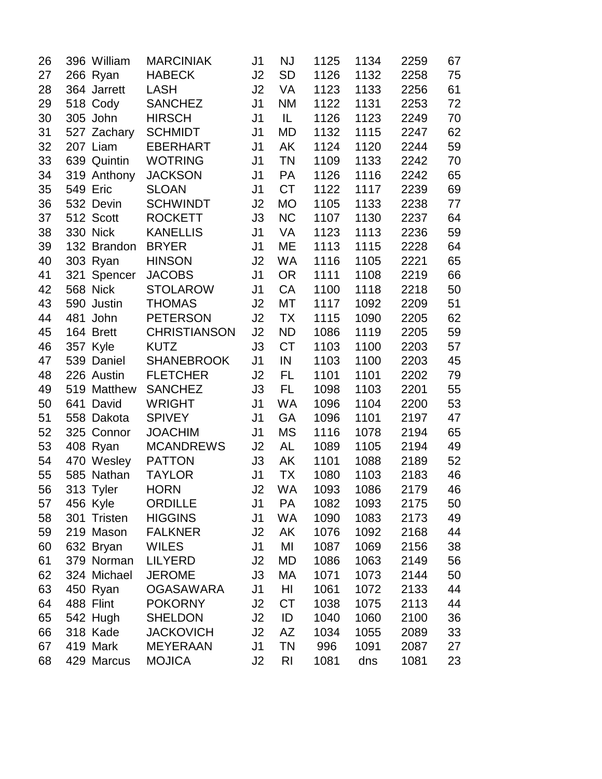| 26 |                 | 396 William | <b>MARCINIAK</b>    | J <sub>1</sub> | NJ        | 1125 | 1134 | 2259 | 67 |
|----|-----------------|-------------|---------------------|----------------|-----------|------|------|------|----|
| 27 | 266 Ryan        |             | <b>HABECK</b>       | J <sub>2</sub> | <b>SD</b> | 1126 | 1132 | 2258 | 75 |
| 28 |                 | 364 Jarrett | LASH                | J <sub>2</sub> | VA        | 1123 | 1133 | 2256 | 61 |
| 29 |                 | 518 Cody    | <b>SANCHEZ</b>      | J1             | <b>NM</b> | 1122 | 1131 | 2253 | 72 |
| 30 | 305 John        |             | <b>HIRSCH</b>       | J <sub>1</sub> | IL.       | 1126 | 1123 | 2249 | 70 |
| 31 |                 | 527 Zachary | <b>SCHMIDT</b>      | J <sub>1</sub> | MD        | 1132 | 1115 | 2247 | 62 |
| 32 | 207 Liam        |             | <b>EBERHART</b>     | J <sub>1</sub> | AK        | 1124 | 1120 | 2244 | 59 |
| 33 |                 | 639 Quintin | <b>WOTRING</b>      | J <sub>1</sub> | <b>TN</b> | 1109 | 1133 | 2242 | 70 |
| 34 |                 | 319 Anthony | <b>JACKSON</b>      | J1             | <b>PA</b> | 1126 | 1116 | 2242 | 65 |
| 35 | <b>549 Eric</b> |             | <b>SLOAN</b>        | J1             | <b>CT</b> | 1122 | 1117 | 2239 | 69 |
| 36 |                 | 532 Devin   | <b>SCHWINDT</b>     | J <sub>2</sub> | <b>MO</b> | 1105 | 1133 | 2238 | 77 |
| 37 | 512 Scott       |             | <b>ROCKETT</b>      | J3             | <b>NC</b> | 1107 | 1130 | 2237 | 64 |
| 38 | 330 Nick        |             | <b>KANELLIS</b>     | J <sub>1</sub> | VA        | 1123 | 1113 | 2236 | 59 |
| 39 |                 | 132 Brandon | <b>BRYER</b>        | J1             | ME        | 1113 | 1115 | 2228 | 64 |
| 40 | 303 Ryan        |             | <b>HINSON</b>       | J2             | WA        | 1116 | 1105 | 2221 | 65 |
| 41 |                 | 321 Spencer | <b>JACOBS</b>       | J <sub>1</sub> | <b>OR</b> | 1111 | 1108 | 2219 | 66 |
| 42 | 568 Nick        |             | <b>STOLAROW</b>     | J1             | CA        | 1100 | 1118 | 2218 | 50 |
| 43 |                 | 590 Justin  | <b>THOMAS</b>       | J2             | МT        | 1117 | 1092 | 2209 | 51 |
| 44 | 481 John        |             | <b>PETERSON</b>     | J2             | <b>TX</b> | 1115 | 1090 | 2205 | 62 |
| 45 | 164 Brett       |             | <b>CHRISTIANSON</b> | J2             | <b>ND</b> | 1086 | 1119 | 2205 | 59 |
| 46 | 357 Kyle        |             | <b>KUTZ</b>         | J3             | <b>CT</b> | 1103 | 1100 | 2203 | 57 |
| 47 |                 | 539 Daniel  | <b>SHANEBROOK</b>   | J <sub>1</sub> | IN        | 1103 | 1100 | 2203 | 45 |
| 48 |                 | 226 Austin  | <b>FLETCHER</b>     | J2             | FL        | 1101 | 1101 | 2202 | 79 |
| 49 |                 | 519 Matthew | <b>SANCHEZ</b>      | J3             | FL        | 1098 | 1103 | 2201 | 55 |
| 50 | 641             | David       | <b>WRIGHT</b>       | J <sub>1</sub> | WA        | 1096 | 1104 | 2200 | 53 |
| 51 |                 | 558 Dakota  | <b>SPIVEY</b>       | J <sub>1</sub> | <b>GA</b> | 1096 | 1101 | 2197 | 47 |
| 52 |                 | 325 Connor  | <b>JOACHIM</b>      | J <sub>1</sub> | MS        | 1116 | 1078 | 2194 | 65 |
| 53 | 408 Ryan        |             | <b>MCANDREWS</b>    | J2             | AL        | 1089 | 1105 | 2194 | 49 |
| 54 |                 | 470 Wesley  | <b>PATTON</b>       | J3             | AK        | 1101 | 1088 | 2189 | 52 |
| 55 |                 | 585 Nathan  | <b>TAYLOR</b>       | J1             | <b>TX</b> | 1080 | 1103 | 2183 | 46 |
| 56 | 313 Tyler       |             | <b>HORN</b>         | J <sub>2</sub> | <b>WA</b> | 1093 | 1086 | 2179 | 46 |
| 57 | 456 Kyle        |             | <b>ORDILLE</b>      | J1             | <b>PA</b> | 1082 | 1093 | 2175 | 50 |
| 58 |                 | 301 Tristen | <b>HIGGINS</b>      | J1             | WA        | 1090 | 1083 | 2173 | 49 |
| 59 |                 | 219 Mason   | <b>FALKNER</b>      | J2             | AK        | 1076 | 1092 | 2168 | 44 |
| 60 |                 | 632 Bryan   | <b>WILES</b>        | J1             | MI        | 1087 | 1069 | 2156 | 38 |
| 61 |                 | 379 Norman  | <b>LILYERD</b>      | J2             | MD        | 1086 | 1063 | 2149 | 56 |
| 62 |                 | 324 Michael | <b>JEROME</b>       | J3             | МA        | 1071 | 1073 | 2144 | 50 |
| 63 | 450 Ryan        |             | <b>OGASAWARA</b>    | J <sub>1</sub> | HI        | 1061 | 1072 | 2133 | 44 |
| 64 | 488 Flint       |             | <b>POKORNY</b>      | J2             | <b>CT</b> | 1038 | 1075 | 2113 | 44 |
| 65 |                 | 542 Hugh    | <b>SHELDON</b>      | J <sub>2</sub> | ID        | 1040 | 1060 | 2100 | 36 |
| 66 |                 | 318 Kade    | <b>JACKOVICH</b>    | J2             | AZ        | 1034 | 1055 | 2089 | 33 |
| 67 | 419 Mark        |             | <b>MEYERAAN</b>     | J1             | <b>TN</b> | 996  | 1091 | 2087 | 27 |
| 68 |                 | 429 Marcus  | <b>MOJICA</b>       | J2             | RI        | 1081 | dns  | 1081 | 23 |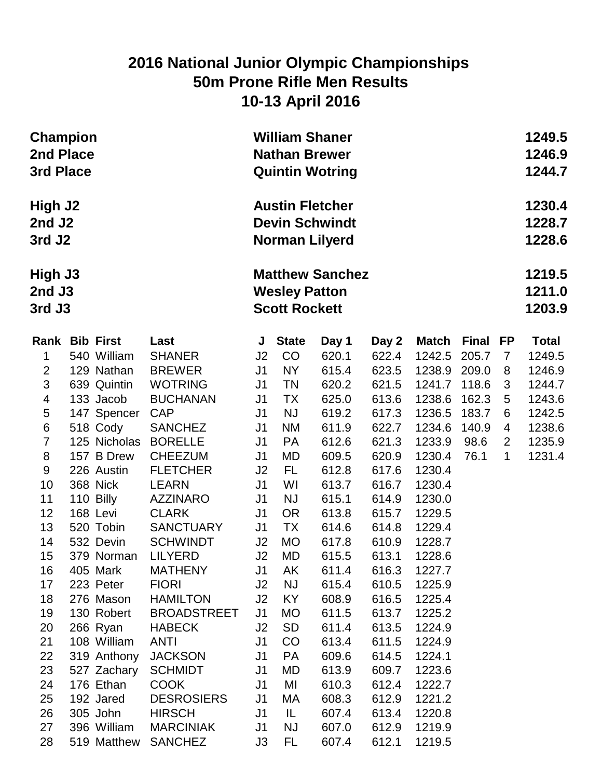## **2016 National Junior Olympic Championships 50m Prone Rifle Men Results 10-13 April 2016**

| <b>Champion</b><br>2nd Place<br>3rd Place           |                        |                                | <b>William Shaner</b><br><b>Nathan Brewer</b><br><b>Quintin Wotring</b> |                                                                          | 1249.5<br>1246.9<br>1244.7 |                |                  |       |                |              |  |
|-----------------------------------------------------|------------------------|--------------------------------|-------------------------------------------------------------------------|--------------------------------------------------------------------------|----------------------------|----------------|------------------|-------|----------------|--------------|--|
| High J2<br>2nd J <sub>2</sub><br>3rd J <sub>2</sub> |                        |                                |                                                                         | <b>Austin Fletcher</b><br><b>Devin Schwindt</b><br><b>Norman Lilyerd</b> |                            |                |                  |       |                |              |  |
| High J3<br>$2nd$ J3<br>3rd J3                       |                        |                                | <b>Matthew Sanchez</b><br><b>Wesley Patton</b><br><b>Scott Rockett</b>  |                                                                          | 1219.5<br>1211.0<br>1203.9 |                |                  |       |                |              |  |
| Rank Bib First                                      |                        | Last                           | J                                                                       | <b>State</b>                                                             | Day 1                      | Day 2          | Match            | Final | FP             | <b>Total</b> |  |
| 1                                                   | 540 William            | <b>SHANER</b>                  | J2                                                                      | CO                                                                       | 620.1                      | 622.4          | 1242.5           | 205.7 | $\overline{7}$ | 1249.5       |  |
| $\overline{2}$                                      | 129 Nathan             | <b>BREWER</b>                  | J <sub>1</sub>                                                          | <b>NY</b>                                                                | 615.4                      | 623.5          | 1238.9 209.0     |       | 8              | 1246.9       |  |
| 3                                                   | 639 Quintin            | <b>WOTRING</b>                 | J1                                                                      | <b>TN</b>                                                                | 620.2                      | 621.5          | 1241.7           | 118.6 | 3              | 1244.7       |  |
| 4                                                   | 133 Jacob              | <b>BUCHANAN</b>                | J <sub>1</sub>                                                          | <b>TX</b>                                                                | 625.0                      | 613.6          | 1238.6           | 162.3 | 5              | 1243.6       |  |
| 5                                                   | 147 Spencer            | <b>CAP</b>                     | J <sub>1</sub>                                                          | <b>NJ</b>                                                                | 619.2                      | 617.3          | 1236.5           | 183.7 | 6              | 1242.5       |  |
| $\,6$                                               | 518 Cody               | <b>SANCHEZ</b>                 | J <sub>1</sub>                                                          | <b>NM</b>                                                                | 611.9                      | 622.7          | 1234.6           | 140.9 | 4              | 1238.6       |  |
| $\overline{7}$                                      | 125 Nicholas           | <b>BORELLE</b>                 | J <sub>1</sub>                                                          | <b>PA</b>                                                                | 612.6                      | 621.3          | 1233.9           | 98.6  | $\overline{2}$ | 1235.9       |  |
| 8                                                   | 157 B Drew             | <b>CHEEZUM</b>                 | J <sub>1</sub>                                                          | MD                                                                       | 609.5                      | 620.9          | 1230.4           | 76.1  | $\mathbf 1$    | 1231.4       |  |
| $9\,$                                               | 226 Austin             | <b>FLETCHER</b>                | J2                                                                      | FL.                                                                      | 612.8                      | 617.6          | 1230.4           |       |                |              |  |
| 10                                                  | 368 Nick               | <b>LEARN</b>                   | J <sub>1</sub>                                                          | WI                                                                       | 613.7                      | 616.7          | 1230.4           |       |                |              |  |
| 11                                                  | 110 Billy              | <b>AZZINARO</b>                | J <sub>1</sub>                                                          | <b>NJ</b>                                                                | 615.1                      | 614.9          | 1230.0           |       |                |              |  |
| 12                                                  | 168 Levi               | <b>CLARK</b>                   | J <sub>1</sub>                                                          | <b>OR</b>                                                                | 613.8                      | 615.7          | 1229.5           |       |                |              |  |
| 13                                                  | 520 Tobin              | <b>SANCTUARY</b>               | J1                                                                      | <b>TX</b>                                                                | 614.6                      | 614.8          | 1229.4           |       |                |              |  |
| 14                                                  | 532 Devin              | <b>SCHWINDT</b>                | J2                                                                      | <b>MO</b>                                                                | 617.8                      | 610.9          | 1228.7           |       |                |              |  |
| 15                                                  | 379 Norman             | <b>LILYERD</b>                 | J2                                                                      | MD                                                                       | 615.5                      | 613.1          | 1228.6           |       |                |              |  |
| 16                                                  | 405 Mark               | <b>MATHENY</b><br><b>FIORI</b> | J <sub>1</sub><br>J2                                                    | AK                                                                       | 611.4                      | 616.3          | 1227.7           |       |                |              |  |
| 17<br>18                                            | 223 Peter<br>276 Mason | <b>HAMILTON</b>                | J2                                                                      | <b>NJ</b><br>KY                                                          | 615.4<br>608.9             | 610.5<br>616.5 | 1225.9<br>1225.4 |       |                |              |  |
| 19                                                  | 130 Robert             | <b>BROADSTREET</b>             | J1                                                                      | MO                                                                       | 611.5                      | 613.7          | 1225.2           |       |                |              |  |
| 20                                                  | 266 Ryan               | <b>HABECK</b>                  | J2                                                                      | <b>SD</b>                                                                | 611.4                      | 613.5          | 1224.9           |       |                |              |  |
| 21                                                  | 108 William            | <b>ANTI</b>                    | J <sub>1</sub>                                                          | CO                                                                       | 613.4                      | 611.5          | 1224.9           |       |                |              |  |
| 22                                                  | 319 Anthony            | <b>JACKSON</b>                 | J <sub>1</sub>                                                          | <b>PA</b>                                                                | 609.6                      | 614.5          | 1224.1           |       |                |              |  |
| 23                                                  | 527 Zachary            | <b>SCHMIDT</b>                 | J <sub>1</sub>                                                          | MD                                                                       | 613.9                      | 609.7          | 1223.6           |       |                |              |  |
| 24                                                  | 176 Ethan              | <b>COOK</b>                    | J <sub>1</sub>                                                          | MI                                                                       | 610.3                      | 612.4          | 1222.7           |       |                |              |  |
| 25                                                  | 192 Jared              | <b>DESROSIERS</b>              | J <sub>1</sub>                                                          | МA                                                                       | 608.3                      | 612.9          | 1221.2           |       |                |              |  |
| 26                                                  | 305 John               | <b>HIRSCH</b>                  | J <sub>1</sub>                                                          | IL                                                                       | 607.4                      | 613.4          | 1220.8           |       |                |              |  |
| 27                                                  | 396 William            | <b>MARCINIAK</b>               | J <sub>1</sub>                                                          | <b>NJ</b>                                                                | 607.0                      | 612.9          | 1219.9           |       |                |              |  |
| 28                                                  | 519 Matthew            | <b>SANCHEZ</b>                 | J3                                                                      | FL                                                                       | 607.4                      | 612.1          | 1219.5           |       |                |              |  |